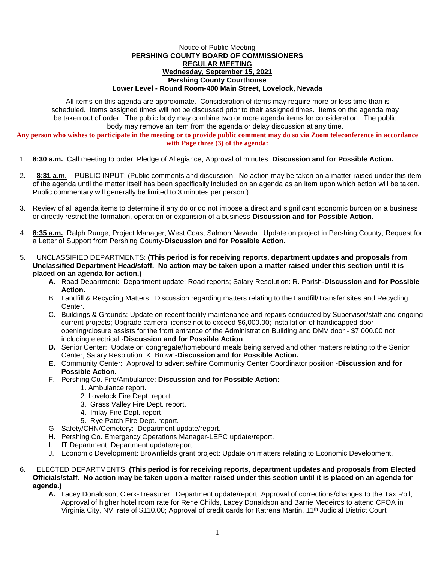## Notice of Public Meeting **PERSHING COUNTY BOARD OF COMMISSIONERS REGULAR MEETING Wednesday, September 15, 2021 Pershing County Courthouse Lower Level - Round Room-400 Main Street, Lovelock, Nevada**

All items on this agenda are approximate. Consideration of items may require more or less time than is scheduled. Items assigned times will not be discussed prior to their assigned times. Items on the agenda may be taken out of order. The public body may combine two or more agenda items for consideration. The public body may remove an item from the agenda or delay discussion at any time.

**Any person who wishes to participate in the meeting or to provide public comment may do so via Zoom teleconference in accordance with Page three (3) of the agenda:**

- 1. **8:30 a.m.** Call meeting to order; Pledge of Allegiance; Approval of minutes: **Discussion and for Possible Action.**
- 2. **8:31 a.m.** PUBLIC INPUT: (Public comments and discussion. No action may be taken on a matter raised under this item of the agenda until the matter itself has been specifically included on an agenda as an item upon which action will be taken. Public commentary will generally be limited to 3 minutes per person.)
- 3. Review of all agenda items to determine if any do or do not impose a direct and significant economic burden on a business or directly restrict the formation, operation or expansion of a business-**Discussion and for Possible Action.**
- 4. **8:35 a.m.** Ralph Runge, Project Manager, West Coast Salmon Nevada: Update on project in Pershing County; Request for a Letter of Support from Pershing County-**Discussion and for Possible Action.**
- 5. UNCLASSIFIED DEPARTMENTS: **(This period is for receiving reports, department updates and proposals from Unclassified Department Head/staff. No action may be taken upon a matter raised under this section until it is placed on an agenda for action.)**
	- **A.** Road Department: Department update; Road reports; Salary Resolution: R. Parish**-Discussion and for Possible Action.**
	- B. Landfill & Recycling Matters: Discussion regarding matters relating to the Landfill/Transfer sites and Recycling **Center**
	- C. Buildings & Grounds: Update on recent facility maintenance and repairs conducted by Supervisor/staff and ongoing current projects; Upgrade camera license not to exceed \$6,000.00; installation of handicapped door opening/closure assists for the front entrance of the Administration Building and DMV door - \$7,000.00 not including electrical -**Discussion and for Possible Action**.
	- **D.** Senior Center: Update on congregate/homebound meals being served and other matters relating to the Senior Center; Salary Resolution: K. Brown-**Discussion and for Possible Action.**
	- **E.** Community Center: Approval to advertise/hire Community Center Coordinator position -**Discussion and for Possible Action.**
	- F. Pershing Co. Fire/Ambulance: **Discussion and for Possible Action:**
		- 1. Ambulance report.
		- 2. Lovelock Fire Dept. report.
		- 3. Grass Valley Fire Dept. report.
		- 4. Imlay Fire Dept. report.
		- 5. Rye Patch Fire Dept. report.
	- G. Safety/CHN/Cemetery: Department update/report.
	- H. Pershing Co. Emergency Operations Manager-LEPC update/report.
	- I. IT Department: Department update/report.
	- J. Economic Development: Brownfields grant project: Update on matters relating to Economic Development.
- 6. ELECTED DEPARTMENTS: **(This period is for receiving reports, department updates and proposals from Elected Officials/staff. No action may be taken upon a matter raised under this section until it is placed on an agenda for agenda.)**
	- **A.** Lacey Donaldson, Clerk-Treasurer: Department update/report; Approval of corrections/changes to the Tax Roll; Approval of higher hotel room rate for Rene Childs, Lacey Donaldson and Barrie Medeiros to attend CFOA in Virginia City, NV, rate of \$110.00; Approval of credit cards for Katrena Martin, 11th Judicial District Court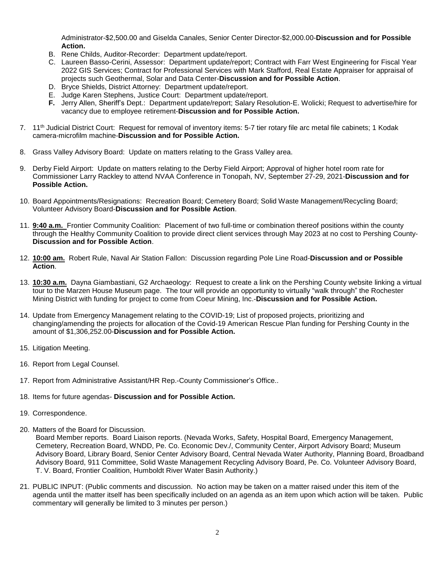Administrator-\$2,500.00 and Giselda Canales, Senior Center Director-\$2,000.00-**Discussion and for Possible Action.**

- B. Rene Childs, Auditor-Recorder: Department update/report.
- C. Laureen Basso-Cerini, Assessor: Department update/report; Contract with Farr West Engineering for Fiscal Year 2022 GIS Services; Contract for Professional Services with Mark Stafford, Real Estate Appraiser for appraisal of projects such Geothermal, Solar and Data Center-**Discussion and for Possible Action**.
- D. Bryce Shields, District Attorney: Department update/report.
- E. Judge Karen Stephens, Justice Court: Department update/report.
- **F.** Jerry Allen, Sheriff's Dept.: Department update/report; Salary Resolution-E. Wolicki; Request to advertise/hire for vacancy due to employee retirement-**Discussion and for Possible Action.**
- 7. 11th Judicial District Court: Request for removal of inventory items: 5-7 tier rotary file arc metal file cabinets; 1 Kodak camera-microfilm machine-**Discussion and for Possible Action.**
- 8. Grass Valley Advisory Board: Update on matters relating to the Grass Valley area.
- 9. Derby Field Airport: Update on matters relating to the Derby Field Airport; Approval of higher hotel room rate for Commissioner Larry Rackley to attend NVAA Conference in Tonopah, NV, September 27-29, 2021-**Discussion and for Possible Action.**
- 10. Board Appointments/Resignations: Recreation Board; Cemetery Board; Solid Waste Management/Recycling Board; Volunteer Advisory Board-**Discussion and for Possible Action**.
- 11. **9:40 a.m.** Frontier Community Coalition: Placement of two full-time or combination thereof positions within the county through the Healthy Community Coalition to provide direct client services through May 2023 at no cost to Pershing County-**Discussion and for Possible Action**.
- 12. **10:00 am.** Robert Rule, Naval Air Station Fallon: Discussion regarding Pole Line Road-**Discussion and or Possible Action**.
- 13. **10:30 a.m.** Dayna Giambastiani, G2 Archaeology: Request to create a link on the Pershing County website linking a virtual tour to the Marzen House Museum page. The tour will provide an opportunity to virtually "walk through" the Rochester Mining District with funding for project to come from Coeur Mining, Inc.-**Discussion and for Possible Action.**
- 14. Update from Emergency Management relating to the COVID-19; List of proposed projects, prioritizing and changing/amending the projects for allocation of the Covid-19 American Rescue Plan funding for Pershing County in the amount of \$1,306,252.00-**Discussion and for Possible Action.**
- 15. Litigation Meeting.
- 16. Report from Legal Counsel.
- 17. Report from Administrative Assistant/HR Rep.-County Commissioner's Office..
- 18. Items for future agendas- **Discussion and for Possible Action.**
- 19. Correspondence.
- 20. Matters of the Board for Discussion.

Board Member reports. Board Liaison reports. (Nevada Works, Safety, Hospital Board, Emergency Management, Cemetery, Recreation Board, WNDD, Pe. Co. Economic Dev./, Community Center, Airport Advisory Board; Museum Advisory Board, Library Board, Senior Center Advisory Board, Central Nevada Water Authority, Planning Board, Broadband Advisory Board, 911 Committee, Solid Waste Management Recycling Advisory Board, Pe. Co. Volunteer Advisory Board, T. V. Board, Frontier Coalition, Humboldt River Water Basin Authority.)

21. PUBLIC INPUT: (Public comments and discussion. No action may be taken on a matter raised under this item of the agenda until the matter itself has been specifically included on an agenda as an item upon which action will be taken. Public commentary will generally be limited to 3 minutes per person.)